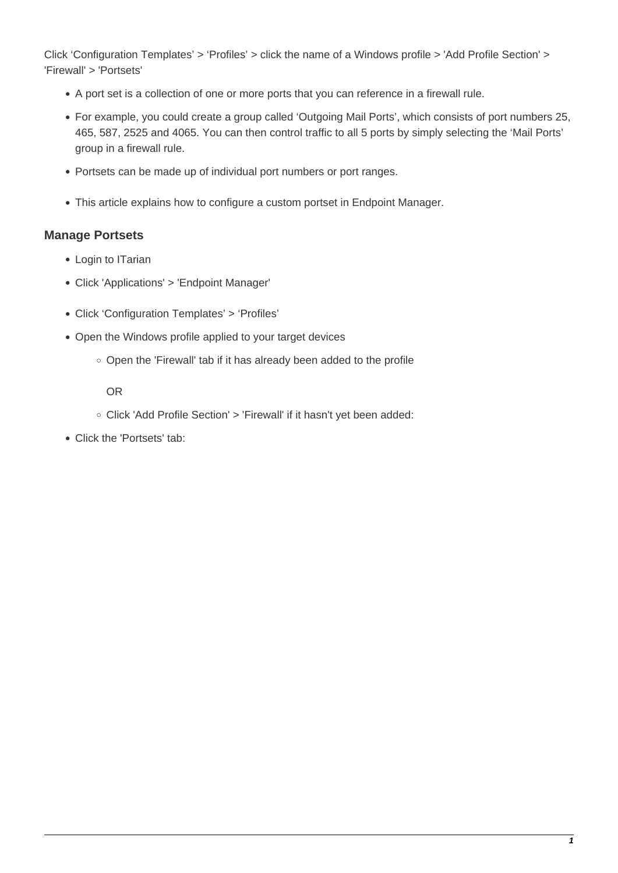Click 'Configuration Templates' > 'Profiles' > click the name of a Windows profile > 'Add Profile Section' > 'Firewall' > 'Portsets'

- A port set is a collection of one or more ports that you can reference in a firewall rule.
- For example, you could create a group called 'Outgoing Mail Ports', which consists of port numbers 25, 465, 587, 2525 and 4065. You can then control traffic to all 5 ports by simply selecting the 'Mail Ports' group in a firewall rule.
- Portsets can be made up of individual port numbers or port ranges.
- This article explains how to configure a custom portset in Endpoint Manager.

## **Manage Portsets**

- Login to ITarian
- Click 'Applications' > 'Endpoint Manager'
- Click 'Configuration Templates' > 'Profiles'
- Open the Windows profile applied to your target devices
	- Open the 'Firewall' tab if it has already been added to the profile

OR

- Click 'Add Profile Section' > 'Firewall' if it hasn't yet been added:
- Click the 'Portsets' tab: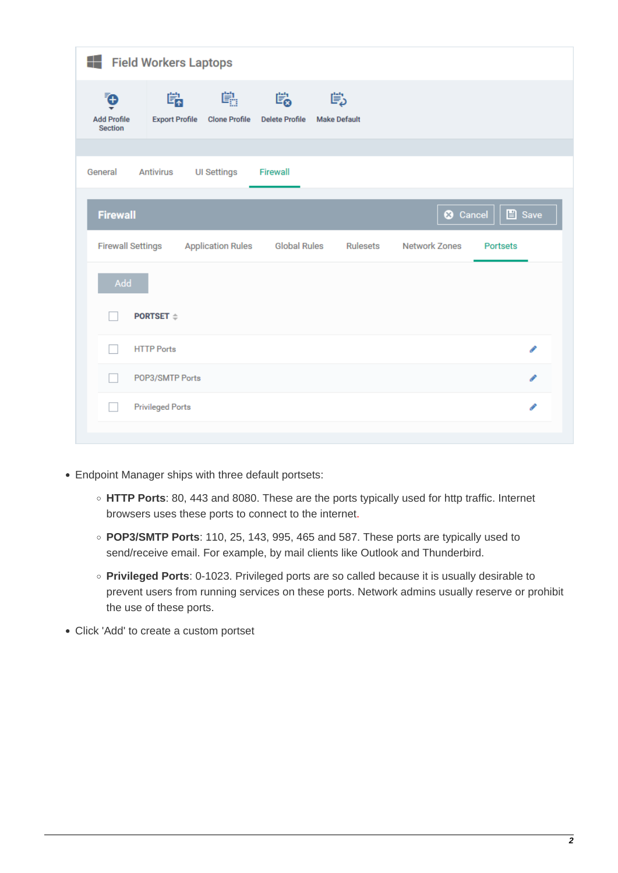| 4<br><b>Field Workers Laptops</b>                                                                    |                                                                            |  |
|------------------------------------------------------------------------------------------------------|----------------------------------------------------------------------------|--|
| 鷼<br>鸕<br>Ģ<br><b>Add Profile</b><br><b>Export Profile</b><br><b>Clone Profile</b><br><b>Section</b> | 鷗<br>Ëρ<br><b>Delete Profile</b><br><b>Make Default</b>                    |  |
| Antivirus<br>Firewall<br>General<br><b>UI Settings</b>                                               |                                                                            |  |
| <b>Firewall</b>                                                                                      | $\Box$ Save<br><b>3</b> Cancel                                             |  |
| <b>Firewall Settings</b><br><b>Application Rules</b>                                                 | <b>Global Rules</b><br><b>Network Zones</b><br>Rulesets<br><b>Portsets</b> |  |
| Add                                                                                                  |                                                                            |  |
| <b>PORTSET</b> $\div$                                                                                |                                                                            |  |
| <b>HTTP Ports</b>                                                                                    | í                                                                          |  |
| POP3/SMTP Ports                                                                                      | i                                                                          |  |
| <b>Privileged Ports</b>                                                                              | í                                                                          |  |
|                                                                                                      |                                                                            |  |

- Endpoint Manager ships with three default portsets:
	- **HTTP Ports**: 80, 443 and 8080. These are the ports typically used for http traffic. Internet browsers uses these ports to connect to the internet.
	- **POP3/SMTP Ports**: 110, 25, 143, 995, 465 and 587. These ports are typically used to send/receive email. For example, by mail clients like Outlook and Thunderbird.
	- **Privileged Ports**: 0-1023. Privileged ports are so called because it is usually desirable to prevent users from running services on these ports. Network admins usually reserve or prohibit the use of these ports.
- Click 'Add' to create a custom portset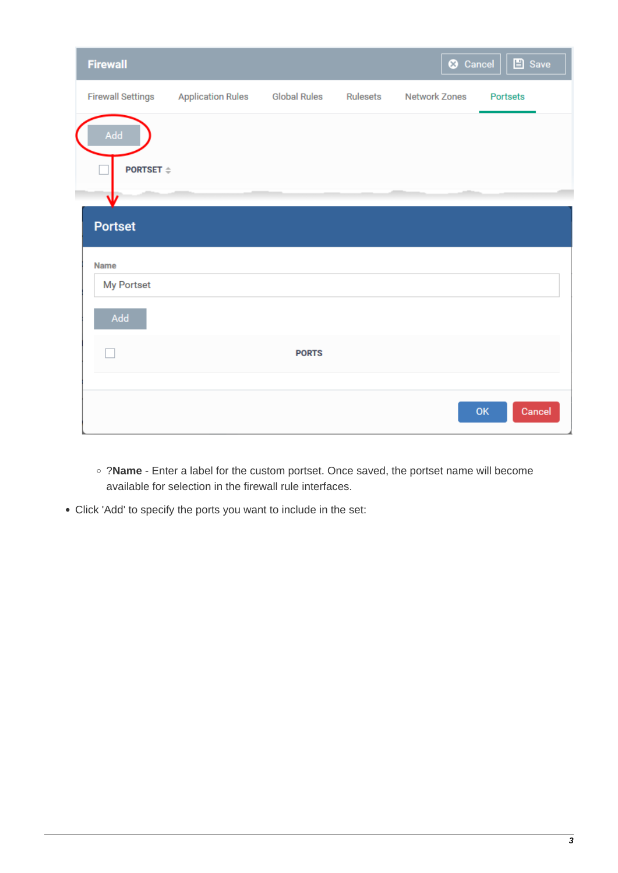| <b>Firewall</b>          |                          |                     |          | <b>3</b> Cancel      | $\Box$ Save     |
|--------------------------|--------------------------|---------------------|----------|----------------------|-----------------|
| <b>Firewall Settings</b> | <b>Application Rules</b> | <b>Global Rules</b> | Rulesets | <b>Network Zones</b> | <b>Portsets</b> |
| Add                      |                          |                     |          |                      |                 |
| PORTSET $\triangleq$     |                          |                     |          |                      |                 |
|                          |                          |                     |          |                      |                 |
| <b>Portset</b>           |                          |                     |          |                      |                 |
| Name                     |                          |                     |          |                      |                 |
| My Portset               |                          |                     |          |                      |                 |
| Add                      |                          |                     |          |                      |                 |
|                          |                          | <b>PORTS</b>        |          |                      |                 |
|                          |                          |                     |          |                      |                 |
|                          |                          |                     |          |                      | Cancel<br>OK    |

- ?**Name** Enter a label for the custom portset. Once saved, the portset name will become available for selection in the firewall rule interfaces.
- Click 'Add' to specify the ports you want to include in the set: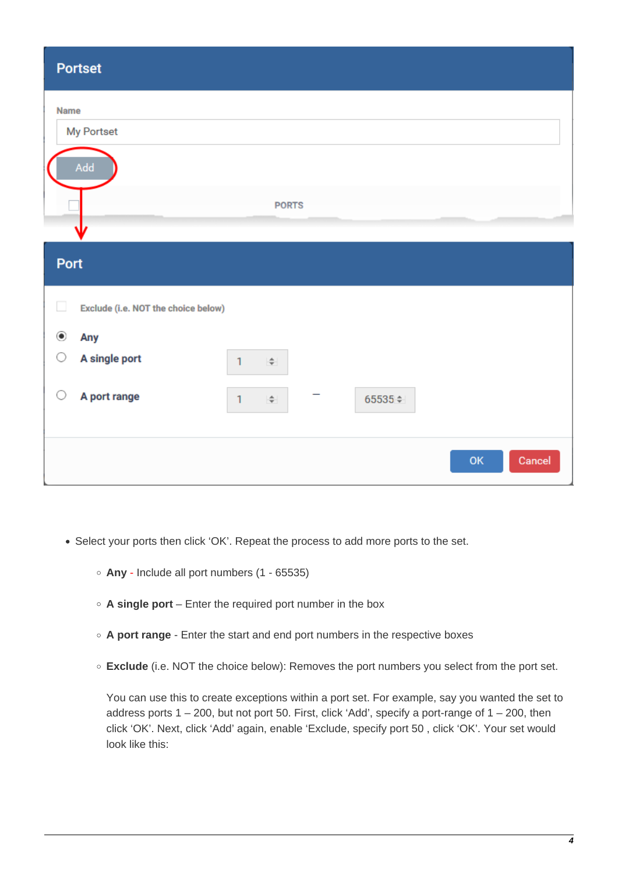| <b>Portset</b>                                |                        |         |              |
|-----------------------------------------------|------------------------|---------|--------------|
| <b>Name</b><br>My Portset                     |                        |         |              |
| Add                                           | <b>PORTS</b>           |         |              |
| Port                                          |                        |         |              |
| $\Box$<br>Exclude (i.e. NOT the choice below) |                        |         |              |
| $_{\circledcirc}$<br>Any                      |                        |         |              |
| O<br>A single port                            | ÷<br>1                 |         |              |
| O<br>A port range                             | $\mathbf{1}$<br>$\div$ | 65535 ≑ |              |
|                                               |                        |         | OK<br>Cancel |

- Select your ports then click 'OK'. Repeat the process to add more ports to the set.
	- **Any** Include all port numbers (1 65535)
	- **A single port** Enter the required port number in the box
	- **A port range** Enter the start and end port numbers in the respective boxes
	- **Exclude** (i.e. NOT the choice below): Removes the port numbers you select from the port set.

You can use this to create exceptions within a port set. For example, say you wanted the set to address ports  $1 - 200$ , but not port 50. First, click 'Add', specify a port-range of  $1 - 200$ , then click 'OK'. Next, click 'Add' again, enable 'Exclude, specify port 50 , click 'OK'. Your set would look like this: